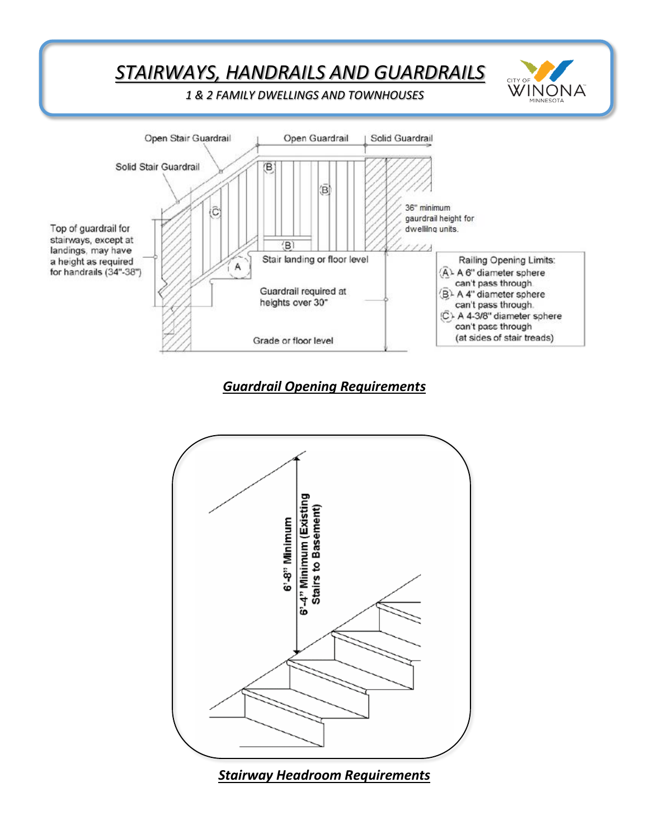

## *Guardrail Opening Requirements*